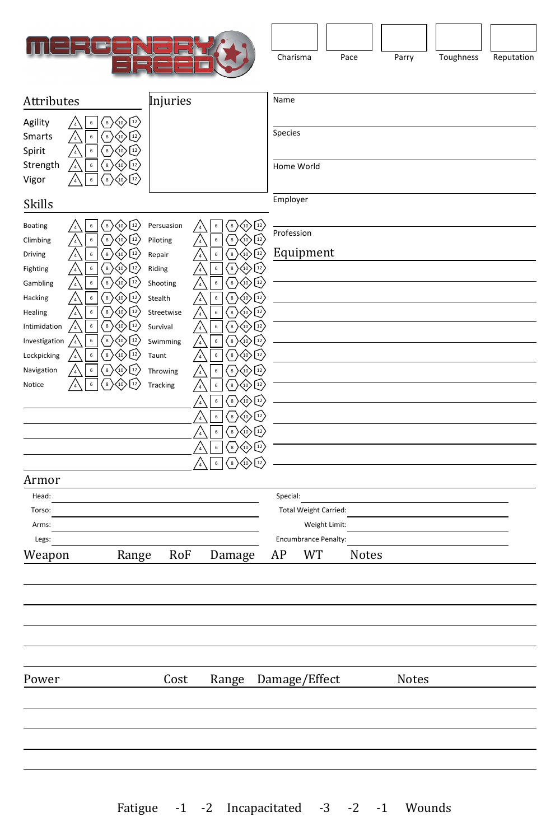

| Charisma | Pace | Parry | Toughness | Reputation |
|----------|------|-------|-----------|------------|

| Attributes                   |                                                                                                                                                                                                                                                                   | Injuries                 |                                                                                                                                                                              | Name       |                       |              |       |  |
|------------------------------|-------------------------------------------------------------------------------------------------------------------------------------------------------------------------------------------------------------------------------------------------------------------|--------------------------|------------------------------------------------------------------------------------------------------------------------------------------------------------------------------|------------|-----------------------|--------------|-------|--|
|                              |                                                                                                                                                                                                                                                                   |                          |                                                                                                                                                                              |            |                       |              |       |  |
| Agility<br>Smarts<br>Spirit  | $\bigotimes$ $\bigotimes$<br>$\langle$ 8 $\rangle$<br>$\sf 6$<br>$\frac{1}{4}$<br>$\mathsf{6}$<br>$\left( \begin{array}{c} 8 \end{array} \right)$<br>$12 \overline{ }$<br>(10)<br>$\frac{1}{4}$<br>$\mathbf 6$<br>$\boldsymbol{8}$<br>(10)<br>$\frac{1}{4}$<br>12 |                          |                                                                                                                                                                              | Species    |                       |              |       |  |
| Strength<br>Vigor            | 8<br>$12\,$<br>$\sf 6$<br>14<br>$\mathsf{6}$<br>$\bf8$<br>12<br>(10)<br>$\overline{4}$                                                                                                                                                                            |                          |                                                                                                                                                                              | Home World |                       |              |       |  |
| Skills                       |                                                                                                                                                                                                                                                                   |                          |                                                                                                                                                                              | Employer   |                       |              |       |  |
| Boating                      | $^{\circ}$<br>$\langle 10 \rangle$ $\langle 12 \rangle$<br>$\mathsf{6}$<br>$\frac{1}{4}$                                                                                                                                                                          | Persuasion               | $\left\langle \!\!{\scriptstyle{10}} \!\! \right\rangle \!\!$ $\left\langle \!\!{\scriptstyle{12}} \!\! \right\rangle$<br>$\frac{8}{3}$<br>$\boldsymbol{6}$<br>$\frac{1}{4}$ | Profession |                       |              |       |  |
| Climbing<br>Driving          | $\bf 8$<br>$\sf 6$<br>12<br>$10^{11}$<br>$\overline{4}$<br>$\boldsymbol{6}$<br>$\bf8$<br>12<br>$\overline{4}$                                                                                                                                                     | Piloting<br>/4<br>Repair | $\left[\overline{12}\right]$<br>$\boldsymbol{6}$<br>$^8$<br>12)<br>$\mathsf{6}$<br>$\bf8$<br>$\frac{1}{4}$                                                                   |            | Equipment             |              |       |  |
| Fighting                     | 6<br>8<br>$\overline{a}$                                                                                                                                                                                                                                          | Riding                   | $\,$ 6 $\,$<br>$\bf8$<br>$\left\lfloor 12 \right\rceil$<br>$\frac{1}{4}$                                                                                                     |            |                       |              |       |  |
| Gambling                     | $\mathsf{6}$<br>8<br>$\frac{7}{4}$                                                                                                                                                                                                                                | Shooting                 | $\,$ 6 $\,$<br>$\bf8$<br>$12 \overline{ }$<br>$\frac{7}{4}$                                                                                                                  |            |                       |              |       |  |
| Hacking                      | $\bf8$<br>$\mathsf{6}$<br>12<br>10<br>$\overline{4}$                                                                                                                                                                                                              | Stealth                  | $\sf 6$<br>$\bf8$<br>12<br>$\frac{1}{4}$                                                                                                                                     |            |                       |              |       |  |
| Healing                      | $\bf8$<br>12<br>$\mathsf{6}$<br>$\frac{1}{4}$                                                                                                                                                                                                                     | Streetwise               | $\mathbf 6$<br>$\bf8$<br>$12\,$<br>$\frac{1}{4}$                                                                                                                             |            |                       |              |       |  |
| Intimidation                 | $\left[\begin{smallmatrix}8\end{smallmatrix}\right]$<br>$\mathsf{6}$<br>$\sqrt{4}$<br>12<br>(10)<br>$\overline{\mathbf{8}}$<br>$\boldsymbol{6}$<br>12                                                                                                             | Survival                 | $\mathsf{6}$<br>$^{12}$<br>8<br>$\sqrt{4}$<br>$^{\circ}$ 8<br>$\,$ 6 $\,$<br>$12\,$                                                                                          |            |                       |              |       |  |
| Investigation<br>Lockpicking | $\frac{1}{4}$<br>,10<br>$\mathsf{6}$<br>$\bf8$<br>12<br>$\frac{1}{4}$                                                                                                                                                                                             | Swimming<br>Taunt        | $\frac{1}{4}$<br>$\boldsymbol{6}$<br>$\bf8$<br>$12 \overline{ }$<br>$\frac{1}{4}$                                                                                            |            |                       |              |       |  |
| Navigation                   | $\mathsf{6}$<br>8<br>$\overline{a}$                                                                                                                                                                                                                               | Throwing                 | $\mathbf 6$<br>$\bf8$<br>$^{12}$<br>$^{\prime}$ 4                                                                                                                            |            |                       |              |       |  |
| Notice                       | $\mathsf{6}$<br>$\bf8$                                                                                                                                                                                                                                            | Tracking                 | $\,$ 6<br>$\bf8$<br>$^{12}$<br>4                                                                                                                                             |            |                       |              |       |  |
|                              |                                                                                                                                                                                                                                                                   |                          | $\mathsf{6}$<br>$\bf 8$<br>12                                                                                                                                                |            |                       |              |       |  |
|                              |                                                                                                                                                                                                                                                                   |                          | $\mathsf{6}$<br>$^{12}$<br>$\bf{8}$<br>$\frac{1}{4}$                                                                                                                         |            |                       |              |       |  |
|                              |                                                                                                                                                                                                                                                                   |                          | $\sf 6$<br>$\bf8$<br>$\langle 10 \rangle$<br>$^{12}$<br>$\frac{1}{4}$                                                                                                        |            |                       |              |       |  |
|                              |                                                                                                                                                                                                                                                                   |                          | $\mathbf 6$<br>$\bf8$<br>$^{12}$<br>$_{(10)}$<br>$\overline{4}$                                                                                                              |            |                       |              |       |  |
|                              |                                                                                                                                                                                                                                                                   |                          | $\mathsf{6}$<br>12<br>$\bf8$<br>10                                                                                                                                           |            |                       |              |       |  |
| Armor                        |                                                                                                                                                                                                                                                                   |                          |                                                                                                                                                                              |            |                       |              |       |  |
| Head:                        |                                                                                                                                                                                                                                                                   |                          |                                                                                                                                                                              | Special:   |                       |              |       |  |
| Torso:                       |                                                                                                                                                                                                                                                                   |                          |                                                                                                                                                                              |            | Total Weight Carried: |              |       |  |
| Arms:                        |                                                                                                                                                                                                                                                                   |                          |                                                                                                                                                                              |            | Weight Limit:         |              |       |  |
| Legs:                        |                                                                                                                                                                                                                                                                   |                          |                                                                                                                                                                              |            | Encumbrance Penalty:  |              |       |  |
| Weapon                       | Range                                                                                                                                                                                                                                                             | RoF                      | Damage                                                                                                                                                                       | AP         | WT                    | <b>Notes</b> |       |  |
|                              |                                                                                                                                                                                                                                                                   |                          |                                                                                                                                                                              |            |                       |              |       |  |
|                              |                                                                                                                                                                                                                                                                   |                          |                                                                                                                                                                              |            |                       |              |       |  |
|                              |                                                                                                                                                                                                                                                                   |                          |                                                                                                                                                                              |            |                       |              |       |  |
|                              |                                                                                                                                                                                                                                                                   |                          |                                                                                                                                                                              |            |                       |              |       |  |
|                              |                                                                                                                                                                                                                                                                   |                          |                                                                                                                                                                              |            |                       |              |       |  |
| Power                        |                                                                                                                                                                                                                                                                   | Cost                     | Range                                                                                                                                                                        |            | Damage/Effect         |              | Notes |  |
|                              |                                                                                                                                                                                                                                                                   |                          |                                                                                                                                                                              |            |                       |              |       |  |
|                              |                                                                                                                                                                                                                                                                   |                          |                                                                                                                                                                              |            |                       |              |       |  |
|                              |                                                                                                                                                                                                                                                                   |                          |                                                                                                                                                                              |            |                       |              |       |  |
|                              |                                                                                                                                                                                                                                                                   |                          |                                                                                                                                                                              |            |                       |              |       |  |